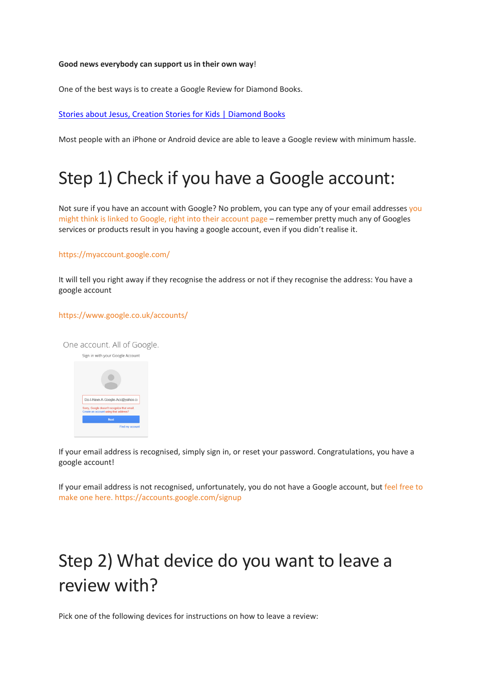#### **Good news everybody can support us in their own way**!

One of the best ways is to create a Google Review for Diamond Books.

[Stories about Jesus, Creation Stories for Kids | Diamond Books](https://diamondbooks.org.uk/)

Most people with an iPhone or Android device are able to leave a Google review with minimum hassle.

## Step 1) Check if you have a Google account:

Not sure if [you](https://www.google.co.uk/accounts/) have an account with Google? No problem, you can type any of your email addresses you [might think is linked to Google, right into their account page](https://www.google.co.uk/accounts/) – remember pretty much any of Googles services or products result in you having a google account, even if you didn't realise it.

### <https://myaccount.google.com/>

It will tell you right away if they recognise the address or not if they recognise the address: You have a google account

#### <https://www.google.co.uk/accounts/>

One account. All of Google. Sign in with your Google Account  $\blacksquare$ Do-I-Have-A-Google-Acc@yahoo.co

If your email address is recognised, simply sign in, or reset your password. Congratulations, you have a google account!

If your email address is not recognised, unfortunately, you do not have a Google account, but feel free to make one here. <https://accounts.google.com/signup>

# Step 2) What device do you want to leave a review with?

Pick one of the following devices for instructions on how to leave a review: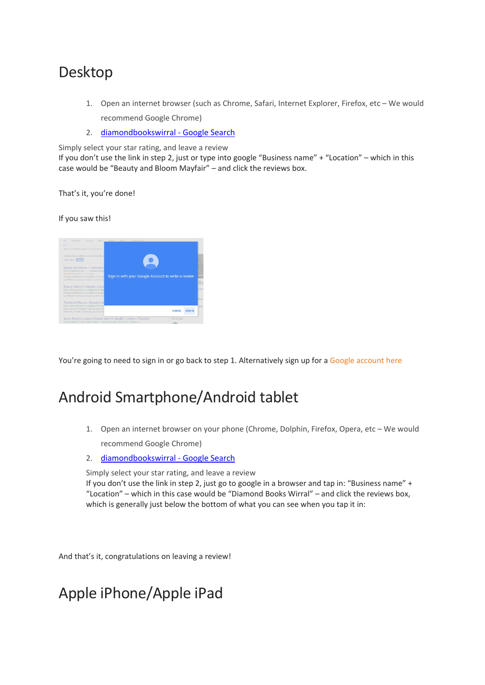### Desktop

- 1. Open an internet browser (such as Chrome, Safari, Internet Explorer, Firefox, etc We would recommend Google Chrome)
- 2. [diamondbookswirral -](https://www.google.co.uk/search?q=diamondbookswirral&ei=liYKYoXYJ6qEhbIPzeqOsA4&ved=0ahUKEwiF-8Ca9v71AhUqQkEAHU21A-YQ4dUDCA8&uact=5&oq=diamondbookswirral&gs_lcp=Cgdnd3Mtd2l6EAM6BwgAEEcQsAM6BwguENQCEA06BAgAEA06BggAEA0QHkoECEEYAEoECEYYAFCMC1iLEWDkE2gBcAF4AIABdIgB5QSSAQMyLjSYAQCgAQHIAQjAAQE&sclient=gws-wiz) Google Search

Simply select your star rating, and leave a review If you don't use the link in step 2, just or type into google "Business name" + "Location" – which in this case would be "Beauty and Bloom Mayfair" – and click the reviews box.

That's it, you're done!

If you saw this!



You're going to need to sign in or go back to step 1. Alternatively sign up for a [Google account here](https://accounts.google.com/signup)

## Android Smartphone/Android tablet

- 1. Open an internet browser on your phone (Chrome, Dolphin, Firefox, Opera, etc We would recommend Google Chrome)
- 2. [diamondbookswirral -](https://www.google.co.uk/search?q=diamondbookswirral&ei=liYKYoXYJ6qEhbIPzeqOsA4&ved=0ahUKEwiF-8Ca9v71AhUqQkEAHU21A-YQ4dUDCA8&uact=5&oq=diamondbookswirral&gs_lcp=Cgdnd3Mtd2l6EAM6BwgAEEcQsAM6BwguENQCEA06BAgAEA06BggAEA0QHkoECEEYAEoECEYYAFCMC1iLEWDkE2gBcAF4AIABdIgB5QSSAQMyLjSYAQCgAQHIAQjAAQE&sclient=gws-wiz) Google Search

Simply select your star rating, and leave a review

If you don't use the link in step 2, just go to google in a browser and tap in: "Business name" + "Location" – which in this case would be "Diamond Books Wirral" – and click the reviews box, which is generally just below the bottom of what you can see when you tap it in:

And that's it, congratulations on leaving a review!

## Apple iPhone/Apple iPad